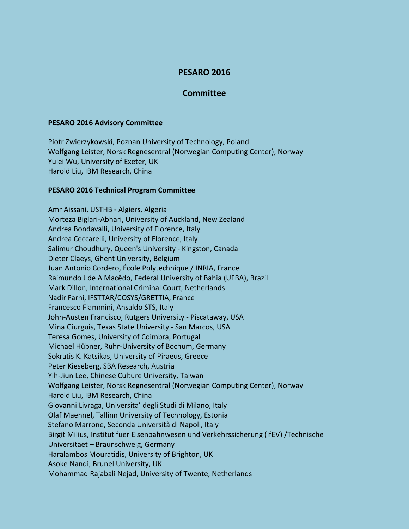## **PESARO 2016**

## **Committee**

## **PESARO 2016 Advisory Committee**

Piotr Zwierzykowski, Poznan University of Technology, Poland Wolfgang Leister, Norsk Regnesentral (Norwegian Computing Center), Norway Yulei Wu, University of Exeter, UK Harold Liu, IBM Research, China

## **PESARO 2016 Technical Program Committee**

Amr Aissani, USTHB - Algiers, Algeria Morteza Biglari-Abhari, University of Auckland, New Zealand Andrea Bondavalli, University of Florence, Italy Andrea Ceccarelli, University of Florence, Italy Salimur Choudhury, Queen's University - Kingston, Canada Dieter Claeys, Ghent University, Belgium Juan Antonio Cordero, École Polytechnique / INRIA, France Raimundo J de A Macêdo, Federal University of Bahia (UFBA), Brazil Mark Dillon, International Criminal Court, Netherlands Nadir Farhi, IFSTTAR/COSYS/GRETTIA, France Francesco Flammini, Ansaldo STS, Italy John-Austen Francisco, Rutgers University - Piscataway, USA Mina Giurguis, Texas State University - San Marcos, USA Teresa Gomes, University of Coimbra, Portugal Michael Hübner, Ruhr-University of Bochum, Germany Sokratis K. Katsikas, University of Piraeus, Greece Peter Kieseberg, SBA Research, Austria Yih-Jiun Lee, Chinese Culture University, Taiwan Wolfgang Leister, Norsk Regnesentral (Norwegian Computing Center), Norway Harold Liu, IBM Research, China Giovanni Livraga, Universita' degli Studi di Milano, Italy Olaf Maennel, Tallinn University of Technology, Estonia Stefano Marrone, Seconda Università di Napoli, Italy Birgit Milius, Institut fuer Eisenbahnwesen und Verkehrssicherung (IfEV) /Technische Universitaet – Braunschweig, Germany Haralambos Mouratidis, University of Brighton, UK Asoke Nandi, Brunel University, UK Mohammad Rajabali Nejad, University of Twente, Netherlands